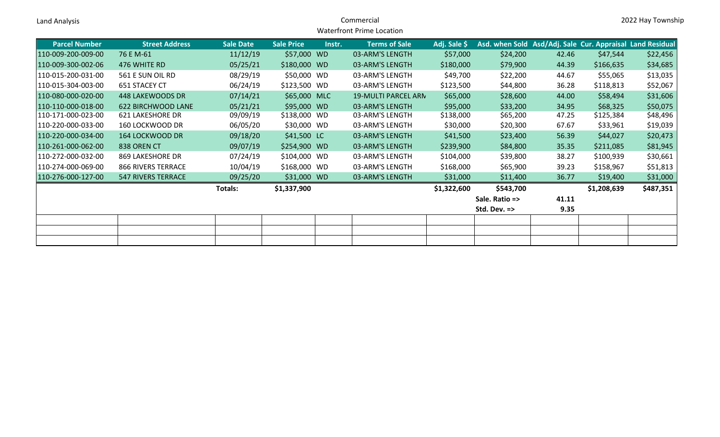| Land Analysis        |                           | Commercial<br><b>Waterfront Prime Location</b> |                   |        |                            |              |                                                           | 2022 Hay Township |             |           |
|----------------------|---------------------------|------------------------------------------------|-------------------|--------|----------------------------|--------------|-----------------------------------------------------------|-------------------|-------------|-----------|
| <b>Parcel Number</b> | <b>Street Address</b>     | <b>Sale Date</b>                               | <b>Sale Price</b> | Instr. | <b>Terms of Sale</b>       | Adj. Sale \$ | Asd. when Sold Asd/Adj. Sale Cur. Appraisal Land Residual |                   |             |           |
| 110-009-200-009-00   | 76 E M-61                 | 11/12/19                                       | \$57,000 WD       |        | 03-ARM'S LENGTH            | \$57,000     | \$24,200                                                  | 42.46             | \$47,544    | \$22,456  |
| 110-009-300-002-06   | 476 WHITE RD              | 05/25/21                                       | \$180,000 WD      |        | 03-ARM'S LENGTH            | \$180,000    | \$79,900                                                  | 44.39             | \$166,635   | \$34,685  |
| 110-015-200-031-00   | 561 E SUN OIL RD          | 08/29/19                                       | \$50,000 WD       |        | 03-ARM'S LENGTH            | \$49,700     | \$22,200                                                  | 44.67             | \$55,065    | \$13,035  |
| 110-015-304-003-00   | 651 STACEY CT             | 06/24/19                                       | \$123,500 WD      |        | 03-ARM'S LENGTH            | \$123,500    | \$44,800                                                  | 36.28             | \$118,813   | \$52,067  |
| 110-080-000-020-00   | <b>448 LAKEWOODS DR</b>   | 07/14/21                                       | \$65,000 MLC      |        | <b>19-MULTI PARCEL ARN</b> | \$65,000     | \$28,600                                                  | 44.00             | \$58,494    | \$31,606  |
| 110-110-000-018-00   | 622 BIRCHWOOD LANE        | 05/21/21                                       | \$95,000 WD       |        | 03-ARM'S LENGTH            | \$95,000     | \$33,200                                                  | 34.95             | \$68,325    | \$50,075  |
| 110-171-000-023-00   | <b>621 LAKESHORE DR</b>   | 09/09/19                                       | \$138,000 WD      |        | 03-ARM'S LENGTH            | \$138,000    | \$65,200                                                  | 47.25             | \$125,384   | \$48,496  |
| 110-220-000-033-00   | 160 LOCKWOOD DR           | 06/05/20                                       | \$30,000 WD       |        | 03-ARM'S LENGTH            | \$30,000     | \$20,300                                                  | 67.67             | \$33,961    | \$19,039  |
| 110-220-000-034-00   | 164 LOCKWOOD DR           | 09/18/20                                       | \$41,500 LC       |        | 03-ARM'S LENGTH            | \$41,500     | \$23,400                                                  | 56.39             | \$44,027    | \$20,473  |
| 110-261-000-062-00   | 838 OREN CT               | 09/07/19                                       | \$254,900 WD      |        | 03-ARM'S LENGTH            | \$239,900    | \$84,800                                                  | 35.35             | \$211,085   | \$81,945  |
| 110-272-000-032-00   | 869 LAKESHORE DR          | 07/24/19                                       | \$104,000 WD      |        | 03-ARM'S LENGTH            | \$104,000    | \$39,800                                                  | 38.27             | \$100,939   | \$30,661  |
| 110-274-000-069-00   | <b>866 RIVERS TERRACE</b> | 10/04/19                                       | \$168,000 WD      |        | 03-ARM'S LENGTH            | \$168,000    | \$65,900                                                  | 39.23             | \$158,967   | \$51,813  |
| 110-276-000-127-00   | <b>547 RIVERS TERRACE</b> | 09/25/20                                       | \$31,000 WD       |        | 03-ARM'S LENGTH            | \$31,000     | \$11,400                                                  | 36.77             | \$19,400    | \$31,000  |
|                      |                           | <b>Totals:</b>                                 | \$1,337,900       |        |                            | \$1,322,600  | \$543,700                                                 |                   | \$1,208,639 | \$487,351 |
|                      |                           |                                                |                   |        |                            |              | Sale. Ratio =>                                            | 41.11             |             |           |
|                      |                           |                                                |                   |        |                            |              | Std. Dev. =>                                              | 9.35              |             |           |
|                      |                           |                                                |                   |        |                            |              |                                                           |                   |             |           |
|                      |                           |                                                |                   |        |                            |              |                                                           |                   |             |           |
|                      |                           |                                                |                   |        |                            |              |                                                           |                   |             |           |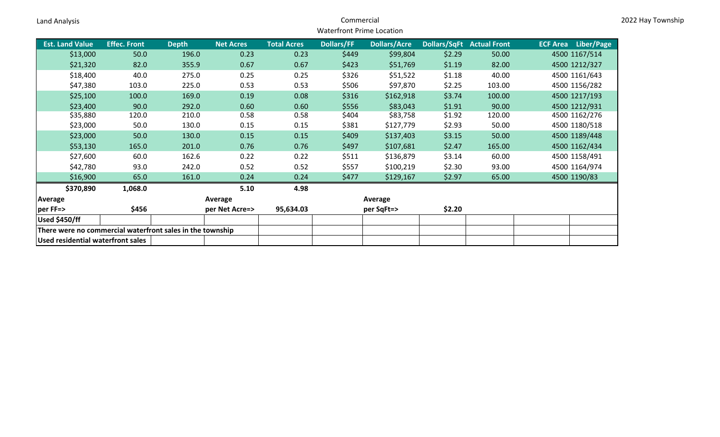| Land Analysis                                             |                     |                    |                  |                    | Commercial                       |                     |        |                                  |                            | 2022 Hay Township |
|-----------------------------------------------------------|---------------------|--------------------|------------------|--------------------|----------------------------------|---------------------|--------|----------------------------------|----------------------------|-------------------|
|                                                           |                     |                    |                  |                    | <b>Waterfront Prime Location</b> |                     |        |                                  |                            |                   |
| <b>Est. Land Value</b>                                    | <b>Effec. Front</b> | Depth <sup>1</sup> | <b>Net Acres</b> | <b>Total Acres</b> | <b>Dollars/FF</b>                | <b>Dollars/Acre</b> |        | <b>Dollars/SqFt Actual Front</b> | <b>ECF Area</b> Liber/Page |                   |
| \$13,000                                                  | 50.0                | 196.0              | 0.23             | 0.23               | \$449                            | \$99,804            | \$2.29 | 50.00                            | 4500 1167/514              |                   |
| \$21,320                                                  | 82.0                | 355.9              | 0.67             | 0.67               | \$423                            | \$51,769            | \$1.19 | 82.00                            | 4500 1212/327              |                   |
| \$18,400                                                  | 40.0                | 275.0              | 0.25             | 0.25               | \$326                            | \$51,522            | \$1.18 | 40.00                            | 4500 1161/643              |                   |
| \$47,380                                                  | 103.0               | 225.0              | 0.53             | 0.53               | \$506                            | \$97,870            | \$2.25 | 103.00                           | 4500 1156/282              |                   |
| \$25,100                                                  | 100.0               | 169.0              | 0.19             | 0.08               | \$316                            | \$162,918           | \$3.74 | 100.00                           | 4500 1217/193              |                   |
| \$23,400                                                  | 90.0                | 292.0              | 0.60             | 0.60               | \$556                            | \$83,043            | \$1.91 | 90.00                            | 4500 1212/931              |                   |
| \$35,880                                                  | 120.0               | 210.0              | 0.58             | 0.58               | \$404                            | \$83,758            | \$1.92 | 120.00                           | 4500 1162/276              |                   |
| \$23,000                                                  | 50.0                | 130.0              | 0.15             | 0.15               | \$381                            | \$127,779           | \$2.93 | 50.00                            | 4500 1180/518              |                   |
| \$23,000                                                  | 50.0                | 130.0              | 0.15             | 0.15               | \$409                            | \$137,403           | \$3.15 | 50.00                            | 4500 1189/448              |                   |
| \$53,130                                                  | 165.0               | 201.0              | 0.76             | 0.76               | \$497                            | \$107,681           | \$2.47 | 165.00                           | 4500 1162/434              |                   |
| \$27,600                                                  | 60.0                | 162.6              | 0.22             | 0.22               | \$511                            | \$136,879           | \$3.14 | 60.00                            | 4500 1158/491              |                   |
| \$42,780                                                  | 93.0                | 242.0              | 0.52             | 0.52               | \$557                            | \$100,219           | \$2.30 | 93.00                            | 4500 1164/974              |                   |
| \$16,900                                                  | 65.0                | 161.0              | 0.24             | 0.24               | \$477                            | \$129,167           | \$2.97 | 65.00                            | 4500 1190/83               |                   |
| \$370,890                                                 | 1,068.0             |                    | 5.10             | 4.98               |                                  |                     |        |                                  |                            |                   |
| Average                                                   |                     |                    | Average          |                    |                                  | Average             |        |                                  |                            |                   |
| per FF=>                                                  | \$456               |                    | per Net Acre=>   | 95,634.03          |                                  | per SqFt=>          | \$2.20 |                                  |                            |                   |
| Used \$450/ff                                             |                     |                    |                  |                    |                                  |                     |        |                                  |                            |                   |
| There were no commercial waterfront sales in the township |                     |                    |                  |                    |                                  |                     |        |                                  |                            |                   |
| Used residential waterfront sales                         |                     |                    |                  |                    |                                  |                     |        |                                  |                            |                   |